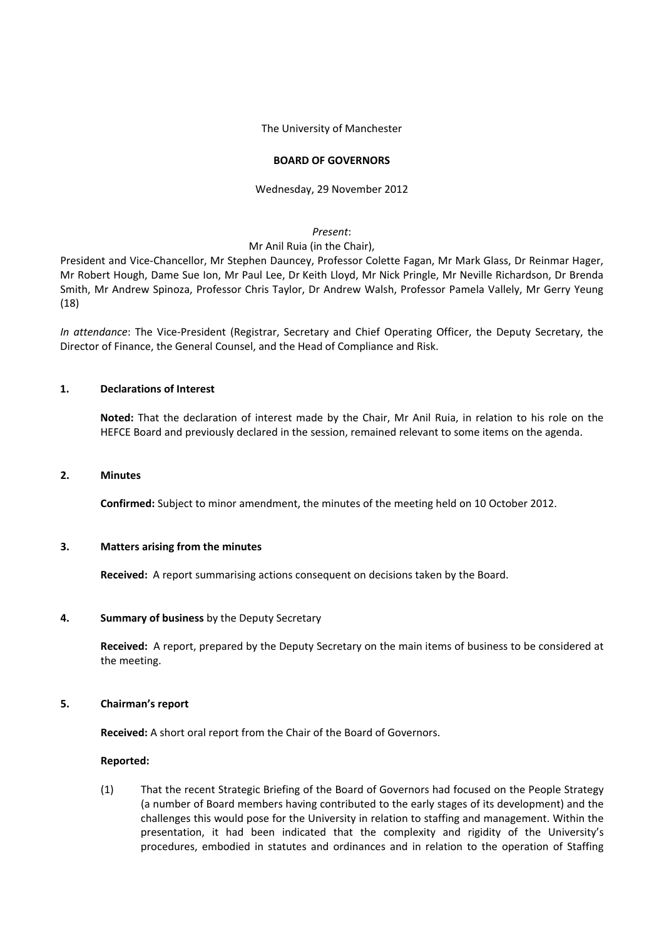The University of Manchester

## **BOARD OF GOVERNORS**

### Wednesday, 29 November 2012

## *Present*:

#### Mr Anil Ruia (in the Chair),

President and Vice‐Chancellor, Mr Stephen Dauncey, Professor Colette Fagan, Mr Mark Glass, Dr Reinmar Hager, Mr Robert Hough, Dame Sue Ion, Mr Paul Lee, Dr Keith Lloyd, Mr Nick Pringle, Mr Neville Richardson, Dr Brenda Smith, Mr Andrew Spinoza, Professor Chris Taylor, Dr Andrew Walsh, Professor Pamela Vallely, Mr Gerry Yeung (18)

*In attendance*: The Vice‐President (Registrar, Secretary and Chief Operating Officer, the Deputy Secretary, the Director of Finance, the General Counsel, and the Head of Compliance and Risk.

## **1. Declarations of Interest**

**Noted:** That the declaration of interest made by the Chair, Mr Anil Ruia, in relation to his role on the HEFCE Board and previously declared in the session, remained relevant to some items on the agenda.

#### **2. Minutes**

**Confirmed:** Subject to minor amendment, the minutes of the meeting held on 10 October 2012.

### **3. Matters arising from the minutes**

**Received:** A report summarising actions consequent on decisions taken by the Board.

# **4. Summary of business** by the Deputy Secretary

**Received:** A report, prepared by the Deputy Secretary on the main items of business to be considered at the meeting.

### **5. Chairman's report**

**Received:** A short oral report from the Chair of the Board of Governors.

### **Reported:**

(1) That the recent Strategic Briefing of the Board of Governors had focused on the People Strategy (a number of Board members having contributed to the early stages of its development) and the challenges this would pose for the University in relation to staffing and management. Within the presentation, it had been indicated that the complexity and rigidity of the University's procedures, embodied in statutes and ordinances and in relation to the operation of Staffing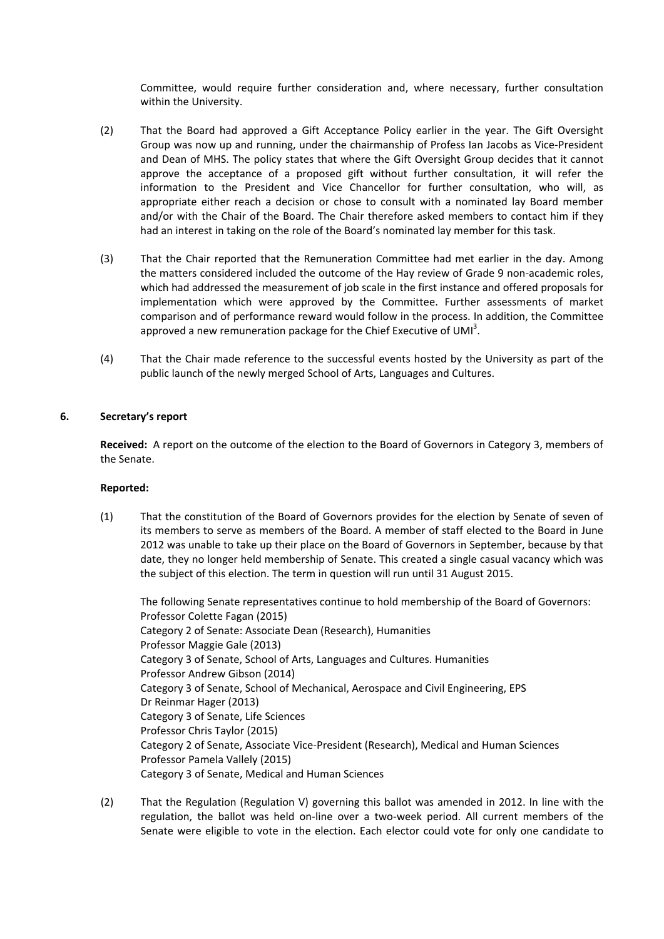Committee, would require further consideration and, where necessary, further consultation within the University.

- (2) That the Board had approved a Gift Acceptance Policy earlier in the year. The Gift Oversight Group was now up and running, under the chairmanship of Profess Ian Jacobs as Vice‐President and Dean of MHS. The policy states that where the Gift Oversight Group decides that it cannot approve the acceptance of a proposed gift without further consultation, it will refer the information to the President and Vice Chancellor for further consultation, who will, as appropriate either reach a decision or chose to consult with a nominated lay Board member and/or with the Chair of the Board. The Chair therefore asked members to contact him if they had an interest in taking on the role of the Board's nominated lay member for this task.
- (3) That the Chair reported that the Remuneration Committee had met earlier in the day. Among the matters considered included the outcome of the Hay review of Grade 9 non-academic roles, which had addressed the measurement of job scale in the first instance and offered proposals for implementation which were approved by the Committee. Further assessments of market comparison and of performance reward would follow in the process. In addition, the Committee approved a new remuneration package for the Chief Executive of UMI<sup>3</sup>.
- (4) That the Chair made reference to the successful events hosted by the University as part of the public launch of the newly merged School of Arts, Languages and Cultures.

# **6. Secretary's report**

**Received:** A report on the outcome of the election to the Board of Governors in Category 3, members of the Senate.

## **Reported:**

(1) That the constitution of the Board of Governors provides for the election by Senate of seven of its members to serve as members of the Board. A member of staff elected to the Board in June 2012 was unable to take up their place on the Board of Governors in September, because by that date, they no longer held membership of Senate. This created a single casual vacancy which was the subject of this election. The term in question will run until 31 August 2015.

The following Senate representatives continue to hold membership of the Board of Governors: Professor Colette Fagan (2015) Category 2 of Senate: Associate Dean (Research), Humanities Professor Maggie Gale (2013) Category 3 of Senate, School of Arts, Languages and Cultures. Humanities Professor Andrew Gibson (2014) Category 3 of Senate, School of Mechanical, Aerospace and Civil Engineering, EPS Dr Reinmar Hager (2013) Category 3 of Senate, Life Sciences Professor Chris Taylor (2015) Category 2 of Senate, Associate Vice‐President (Research), Medical and Human Sciences Professor Pamela Vallely (2015) Category 3 of Senate, Medical and Human Sciences

(2) That the Regulation (Regulation V) governing this ballot was amended in 2012. In line with the regulation, the ballot was held on-line over a two-week period. All current members of the Senate were eligible to vote in the election. Each elector could vote for only one candidate to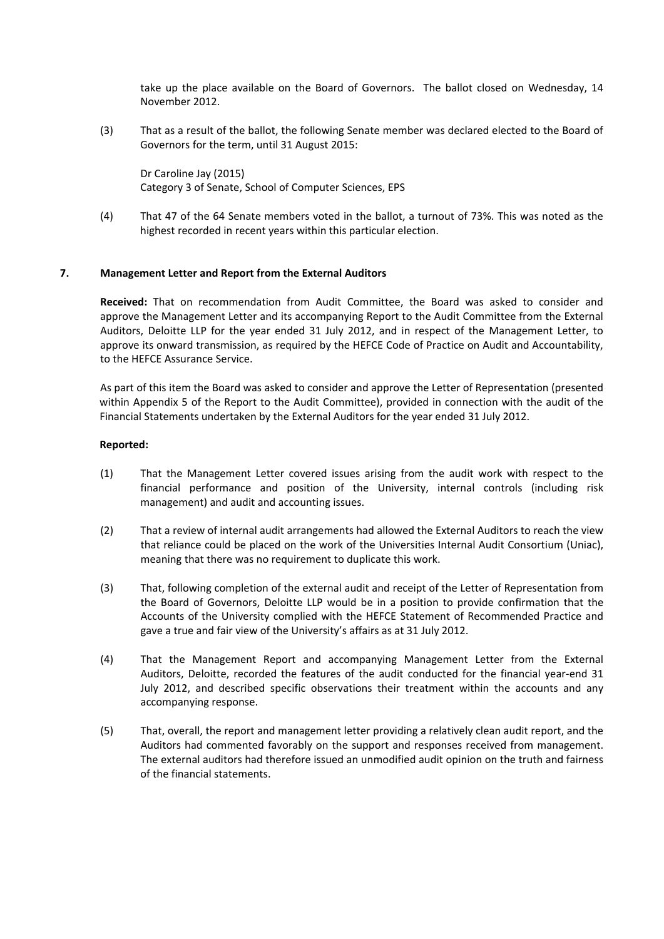take up the place available on the Board of Governors. The ballot closed on Wednesday, 14 November 2012.

(3) That as a result of the ballot, the following Senate member was declared elected to the Board of Governors for the term, until 31 August 2015:

Dr Caroline Jay (2015) Category 3 of Senate, School of Computer Sciences, EPS

(4) That 47 of the 64 Senate members voted in the ballot, a turnout of 73%. This was noted as the highest recorded in recent years within this particular election.

# **7. Management Letter and Report from the External Auditors**

**Received:** That on recommendation from Audit Committee, the Board was asked to consider and approve the Management Letter and its accompanying Report to the Audit Committee from the External Auditors, Deloitte LLP for the year ended 31 July 2012, and in respect of the Management Letter, to approve its onward transmission, as required by the HEFCE Code of Practice on Audit and Accountability, to the HEFCE Assurance Service.

As part of this item the Board was asked to consider and approve the Letter of Representation (presented within Appendix 5 of the Report to the Audit Committee), provided in connection with the audit of the Financial Statements undertaken by the External Auditors for the year ended 31 July 2012.

- (1) That the Management Letter covered issues arising from the audit work with respect to the financial performance and position of the University, internal controls (including risk management) and audit and accounting issues.
- (2) That a review of internal audit arrangements had allowed the External Auditors to reach the view that reliance could be placed on the work of the Universities Internal Audit Consortium (Uniac), meaning that there was no requirement to duplicate this work.
- (3) That, following completion of the external audit and receipt of the Letter of Representation from the Board of Governors, Deloitte LLP would be in a position to provide confirmation that the Accounts of the University complied with the HEFCE Statement of Recommended Practice and gave a true and fair view of the University's affairs as at 31 July 2012.
- (4) That the Management Report and accompanying Management Letter from the External Auditors, Deloitte, recorded the features of the audit conducted for the financial year‐end 31 July 2012, and described specific observations their treatment within the accounts and any accompanying response.
- (5) That, overall, the report and management letter providing a relatively clean audit report, and the Auditors had commented favorably on the support and responses received from management. The external auditors had therefore issued an unmodified audit opinion on the truth and fairness of the financial statements.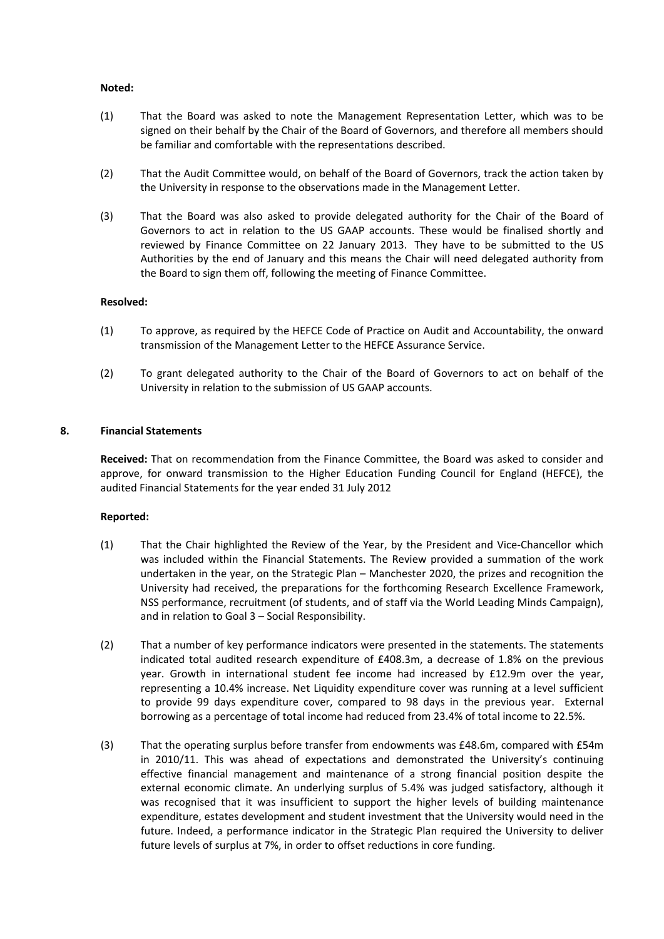# **Noted:**

- (1) That the Board was asked to note the Management Representation Letter, which was to be signed on their behalf by the Chair of the Board of Governors, and therefore all members should be familiar and comfortable with the representations described.
- (2) That the Audit Committee would, on behalf of the Board of Governors, track the action taken by the University in response to the observations made in the Management Letter.
- (3) That the Board was also asked to provide delegated authority for the Chair of the Board of Governors to act in relation to the US GAAP accounts. These would be finalised shortly and reviewed by Finance Committee on 22 January 2013. They have to be submitted to the US Authorities by the end of January and this means the Chair will need delegated authority from the Board to sign them off, following the meeting of Finance Committee.

# **Resolved:**

- (1) To approve, as required by the HEFCE Code of Practice on Audit and Accountability, the onward transmission of the Management Letter to the HEFCE Assurance Service.
- (2) To grant delegated authority to the Chair of the Board of Governors to act on behalf of the University in relation to the submission of US GAAP accounts.

# **8. Financial Statements**

**Received:** That on recommendation from the Finance Committee, the Board was asked to consider and approve, for onward transmission to the Higher Education Funding Council for England (HEFCE), the audited Financial Statements for the year ended 31 July 2012

- (1) That the Chair highlighted the Review of the Year, by the President and Vice‐Chancellor which was included within the Financial Statements. The Review provided a summation of the work undertaken in the year, on the Strategic Plan – Manchester 2020, the prizes and recognition the University had received, the preparations for the forthcoming Research Excellence Framework, NSS performance, recruitment (of students, and of staff via the World Leading Minds Campaign), and in relation to Goal 3 – Social Responsibility.
- (2) That a number of key performance indicators were presented in the statements. The statements indicated total audited research expenditure of £408.3m, a decrease of 1.8% on the previous year. Growth in international student fee income had increased by £12.9m over the year, representing a 10.4% increase. Net Liquidity expenditure cover was running at a level sufficient to provide 99 days expenditure cover, compared to 98 days in the previous year. External borrowing as a percentage of total income had reduced from 23.4% of total income to 22.5%.
- (3) That the operating surplus before transfer from endowments was £48.6m, compared with £54m in 2010/11. This was ahead of expectations and demonstrated the University's continuing effective financial management and maintenance of a strong financial position despite the external economic climate. An underlying surplus of 5.4% was judged satisfactory, although it was recognised that it was insufficient to support the higher levels of building maintenance expenditure, estates development and student investment that the University would need in the future. Indeed, a performance indicator in the Strategic Plan required the University to deliver future levels of surplus at 7%, in order to offset reductions in core funding.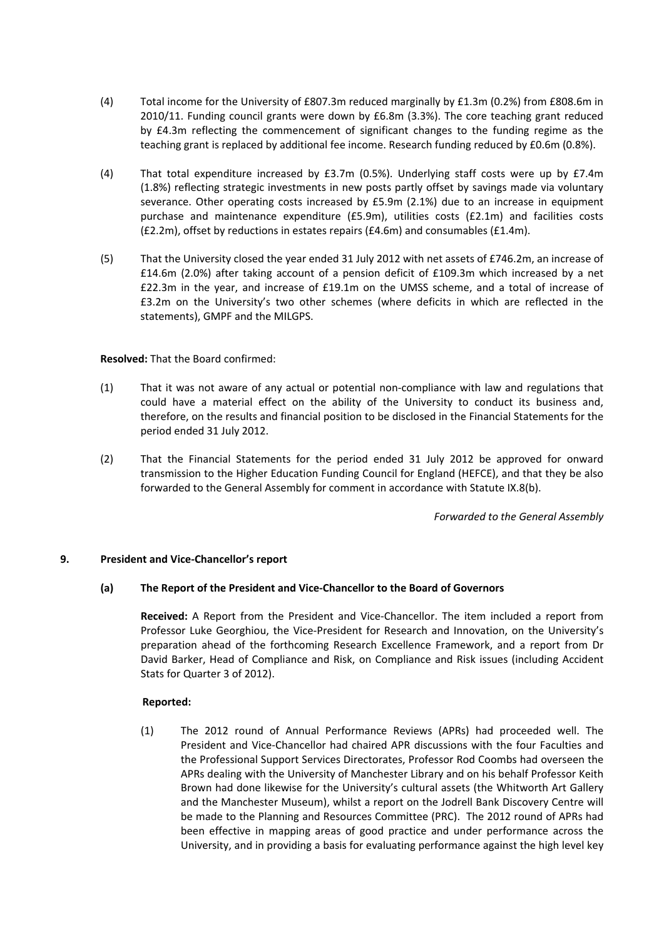- (4) Total income for the University of £807.3m reduced marginally by £1.3m (0.2%) from £808.6m in 2010/11. Funding council grants were down by £6.8m (3.3%). The core teaching grant reduced by £4.3m reflecting the commencement of significant changes to the funding regime as the teaching grant is replaced by additional fee income. Research funding reduced by £0.6m (0.8%).
- (4) That total expenditure increased by £3.7m (0.5%). Underlying staff costs were up by £7.4m (1.8%) reflecting strategic investments in new posts partly offset by savings made via voluntary severance. Other operating costs increased by £5.9m (2.1%) due to an increase in equipment purchase and maintenance expenditure (£5.9m), utilities costs (£2.1m) and facilities costs (£2.2m), offset by reductions in estates repairs (£4.6m) and consumables (£1.4m).
- (5) That the University closed the year ended 31 July 2012 with net assets of £746.2m, an increase of £14.6m (2.0%) after taking account of a pension deficit of £109.3m which increased by a net £22.3m in the year, and increase of £19.1m on the UMSS scheme, and a total of increase of £3.2m on the University's two other schemes (where deficits in which are reflected in the statements), GMPF and the MILGPS.

# **Resolved:** That the Board confirmed:

- (1) That it was not aware of any actual or potential non‐compliance with law and regulations that could have a material effect on the ability of the University to conduct its business and, therefore, on the results and financial position to be disclosed in the Financial Statements for the period ended 31 July 2012.
- (2) That the Financial Statements for the period ended 31 July 2012 be approved for onward transmission to the Higher Education Funding Council for England (HEFCE), and that they be also forwarded to the General Assembly for comment in accordance with Statute IX.8(b).

*Forwarded to the General Assembly*

# **9. President and Vice‐Chancellor's report**

## **(a) The Report of the President and Vice‐Chancellor to the Board of Governors**

**Received:** A Report from the President and Vice‐Chancellor. The item included a report from Professor Luke Georghiou, the Vice‐President for Research and Innovation, on the University's preparation ahead of the forthcoming Research Excellence Framework, and a report from Dr David Barker, Head of Compliance and Risk, on Compliance and Risk issues (including Accident Stats for Quarter 3 of 2012).

## **Reported:**

(1) The 2012 round of Annual Performance Reviews (APRs) had proceeded well. The President and Vice‐Chancellor had chaired APR discussions with the four Faculties and the Professional Support Services Directorates, Professor Rod Coombs had overseen the APRs dealing with the University of Manchester Library and on his behalf Professor Keith Brown had done likewise for the University's cultural assets (the Whitworth Art Gallery and the Manchester Museum), whilst a report on the Jodrell Bank Discovery Centre will be made to the Planning and Resources Committee (PRC). The 2012 round of APRs had been effective in mapping areas of good practice and under performance across the University, and in providing a basis for evaluating performance against the high level key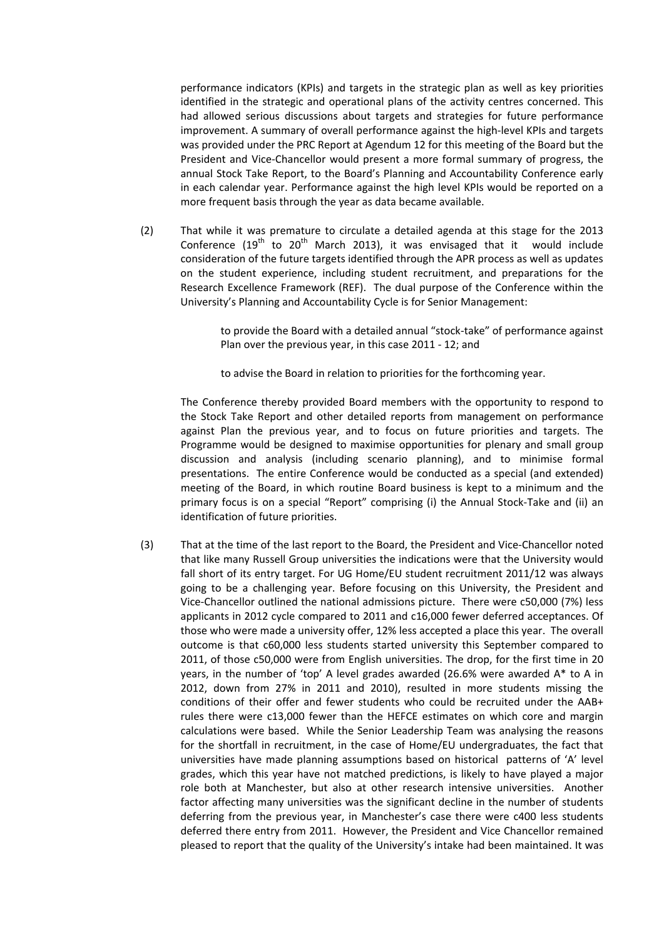performance indicators (KPIs) and targets in the strategic plan as well as key priorities identified in the strategic and operational plans of the activity centres concerned. This had allowed serious discussions about targets and strategies for future performance improvement. A summary of overall performance against the high-level KPIs and targets was provided under the PRC Report at Agendum 12 for this meeting of the Board but the President and Vice‐Chancellor would present a more formal summary of progress, the annual Stock Take Report, to the Board's Planning and Accountability Conference early in each calendar year. Performance against the high level KPIs would be reported on a more frequent basis through the year as data became available.

(2) That while it was premature to circulate a detailed agenda at this stage for the 2013 Conference  $(19<sup>th</sup>$  to  $20<sup>th</sup>$  March 2013), it was envisaged that it would include consideration of the future targets identified through the APR process as well as updates on the student experience, including student recruitment, and preparations for the Research Excellence Framework (REF). The dual purpose of the Conference within the University's Planning and Accountability Cycle is for Senior Management:

> to provide the Board with a detailed annual "stock‐take" of performance against Plan over the previous year, in this case 2011 ‐ 12; and

to advise the Board in relation to priorities for the forthcoming year.

The Conference thereby provided Board members with the opportunity to respond to the Stock Take Report and other detailed reports from management on performance against Plan the previous year, and to focus on future priorities and targets. The Programme would be designed to maximise opportunities for plenary and small group discussion and analysis (including scenario planning), and to minimise formal presentations. The entire Conference would be conducted as a special (and extended) meeting of the Board, in which routine Board business is kept to a minimum and the primary focus is on a special "Report" comprising (i) the Annual Stock‐Take and (ii) an identification of future priorities.

(3) That at the time of the last report to the Board, the President and Vice‐Chancellor noted that like many Russell Group universities the indications were that the University would fall short of its entry target. For UG Home/EU student recruitment 2011/12 was always going to be a challenging year. Before focusing on this University, the President and Vice‐Chancellor outlined the national admissions picture. There were c50,000 (7%) less applicants in 2012 cycle compared to 2011 and c16,000 fewer deferred acceptances. Of those who were made a university offer, 12% less accepted a place this year. The overall outcome is that c60,000 less students started university this September compared to 2011, of those c50,000 were from English universities. The drop, for the first time in 20 years, in the number of 'top' A level grades awarded (26.6% were awarded A\* to A in 2012, down from 27% in 2011 and 2010), resulted in more students missing the conditions of their offer and fewer students who could be recruited under the AAB+ rules there were c13,000 fewer than the HEFCE estimates on which core and margin calculations were based. While the Senior Leadership Team was analysing the reasons for the shortfall in recruitment, in the case of Home/EU undergraduates, the fact that universities have made planning assumptions based on historical patterns of 'A' level grades, which this year have not matched predictions, is likely to have played a major role both at Manchester, but also at other research intensive universities. Another factor affecting many universities was the significant decline in the number of students deferring from the previous year, in Manchester's case there were c400 less students deferred there entry from 2011. However, the President and Vice Chancellor remained pleased to report that the quality of the University's intake had been maintained. It was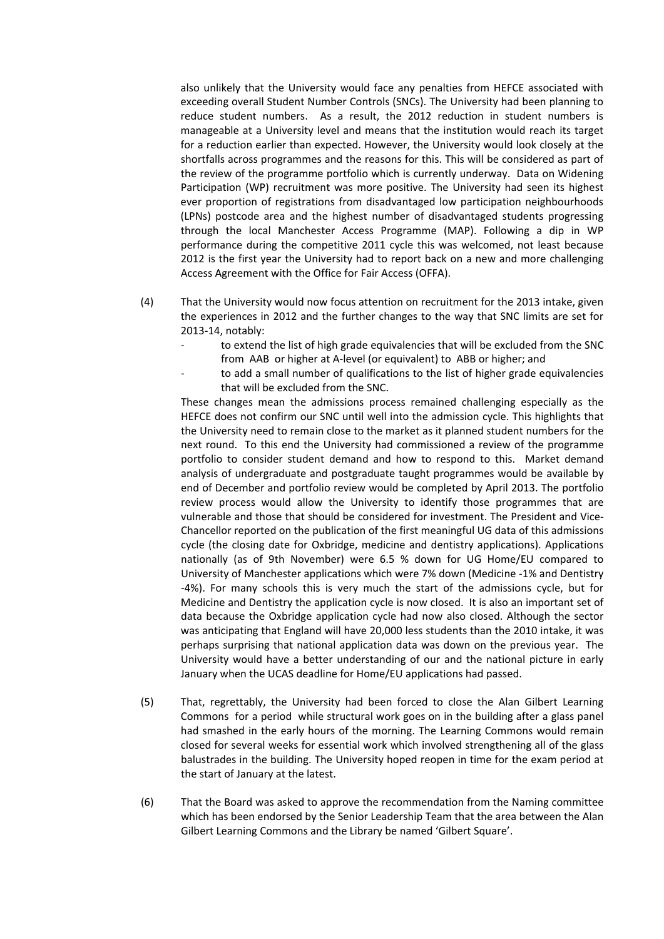also unlikely that the University would face any penalties from HEFCE associated with exceeding overall Student Number Controls (SNCs). The University had been planning to reduce student numbers. As a result, the 2012 reduction in student numbers is manageable at a University level and means that the institution would reach its target for a reduction earlier than expected. However, the University would look closely at the shortfalls across programmes and the reasons for this. This will be considered as part of the review of the programme portfolio which is currently underway. Data on Widening Participation (WP) recruitment was more positive. The University had seen its highest ever proportion of registrations from disadvantaged low participation neighbourhoods (LPNs) postcode area and the highest number of disadvantaged students progressing through the local Manchester Access Programme (MAP). Following a dip in WP performance during the competitive 2011 cycle this was welcomed, not least because 2012 is the first year the University had to report back on a new and more challenging Access Agreement with the Office for Fair Access (OFFA).

- (4) That the University would now focus attention on recruitment for the 2013 intake, given the experiences in 2012 and the further changes to the way that SNC limits are set for 2013‐14, notably:
	- to extend the list of high grade equivalencies that will be excluded from the SNC from AAB or higher at A‐level (or equivalent) to ABB or higher; and
	- to add a small number of qualifications to the list of higher grade equivalencies that will be excluded from the SNC.

These changes mean the admissions process remained challenging especially as the HEFCE does not confirm our SNC until well into the admission cycle. This highlights that the University need to remain close to the market as it planned student numbers for the next round. To this end the University had commissioned a review of the programme portfolio to consider student demand and how to respond to this. Market demand analysis of undergraduate and postgraduate taught programmes would be available by end of December and portfolio review would be completed by April 2013. The portfolio review process would allow the University to identify those programmes that are vulnerable and those that should be considered for investment. The President and Vice‐ Chancellor reported on the publication of the first meaningful UG data of this admissions cycle (the closing date for Oxbridge, medicine and dentistry applications). Applications nationally (as of 9th November) were 6.5 % down for UG Home/EU compared to University of Manchester applications which were 7% down (Medicine ‐1% and Dentistry ‐4%). For many schools this is very much the start of the admissions cycle, but for Medicine and Dentistry the application cycle is now closed. It is also an important set of data because the Oxbridge application cycle had now also closed. Although the sector was anticipating that England will have 20,000 less students than the 2010 intake, it was perhaps surprising that national application data was down on the previous year. The University would have a better understanding of our and the national picture in early January when the UCAS deadline for Home/EU applications had passed.

- (5) That, regrettably, the University had been forced to close the Alan Gilbert Learning Commons for a period while structural work goes on in the building after a glass panel had smashed in the early hours of the morning. The Learning Commons would remain closed for several weeks for essential work which involved strengthening all of the glass balustrades in the building. The University hoped reopen in time for the exam period at the start of January at the latest.
- (6) That the Board was asked to approve the recommendation from the Naming committee which has been endorsed by the Senior Leadership Team that the area between the Alan Gilbert Learning Commons and the Library be named 'Gilbert Square'.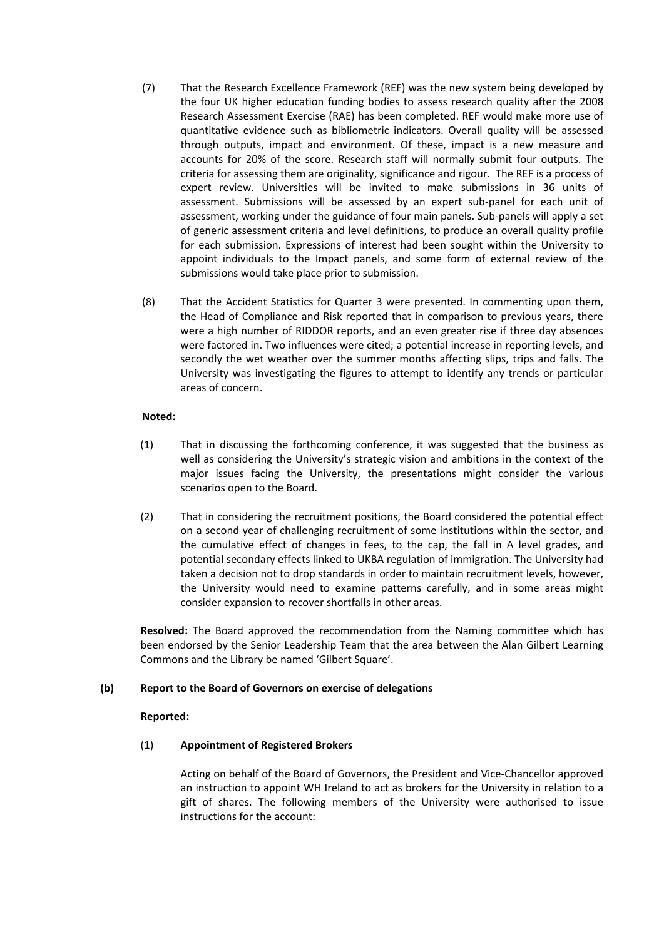- (7) That the Research Excellence Framework (REF) was the new system being developed by the four UK higher education funding bodies to assess research quality after the 2008 Research Assessment Exercise (RAE) has been completed. REF would make more use of quantitative evidence such as bibliometric indicators. Overall quality will be assessed through outputs, impact and environment. Of these, impact is a new measure and accounts for 20% of the score. Research staff will normally submit four outputs. The criteria for assessing them are originality, significance and rigour. The REF is a process of expert review. Universities will be invited to make submissions in 36 units of assessment. Submissions will be assessed by an expert sub‐panel for each unit of assessment, working under the guidance of four main panels. Sub‐panels will apply a set of generic assessment criteria and level definitions, to produce an overall quality profile for each submission. Expressions of interest had been sought within the University to appoint individuals to the Impact panels, and some form of external review of the submissions would take place prior to submission.
- (8) That the Accident Statistics for Quarter 3 were presented. In commenting upon them, the Head of Compliance and Risk reported that in comparison to previous years, there were a high number of RIDDOR reports, and an even greater rise if three day absences were factored in. Two influences were cited; a potential increase in reporting levels, and secondly the wet weather over the summer months affecting slips, trips and falls. The University was investigating the figures to attempt to identify any trends or particular areas of concern.

# **Noted:**

- (1) That in discussing the forthcoming conference, it was suggested that the business as well as considering the University's strategic vision and ambitions in the context of the major issues facing the University, the presentations might consider the various scenarios open to the Board.
- (2) That in considering the recruitment positions, the Board considered the potential effect on a second year of challenging recruitment of some institutions within the sector, and the cumulative effect of changes in fees, to the cap, the fall in A level grades, and potential secondary effects linked to UKBA regulation of immigration. The University had taken a decision not to drop standards in order to maintain recruitment levels, however, the University would need to examine patterns carefully, and in some areas might consider expansion to recover shortfalls in other areas.

**Resolved:** The Board approved the recommendation from the Naming committee which has been endorsed by the Senior Leadership Team that the area between the Alan Gilbert Learning Commons and the Library be named 'Gilbert Square'.

# **(b) Report to the Board of Governors on exercise of delegations**

## **Reported:**

# (1) **Appointment of Registered Brokers**

Acting on behalf of the Board of Governors, the President and Vice‐Chancellor approved an instruction to appoint WH Ireland to act as brokers for the University in relation to a gift of shares. The following members of the University were authorised to issue instructions for the account: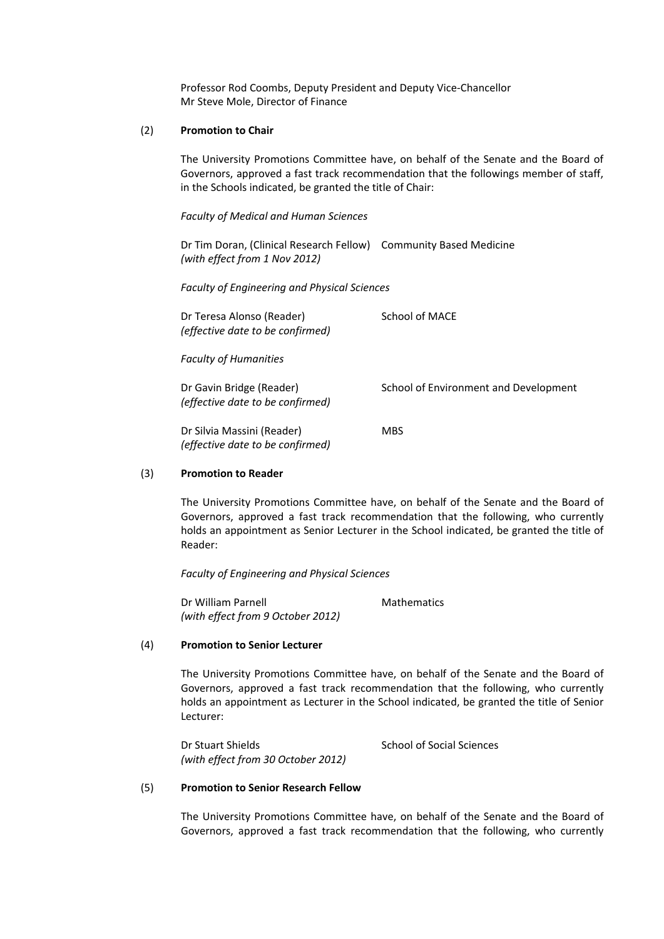Professor Rod Coombs, Deputy President and Deputy Vice‐Chancellor Mr Steve Mole, Director of Finance

### (2) **Promotion to Chair**

The University Promotions Committee have, on behalf of the Senate and the Board of Governors, approved a fast track recommendation that the followings member of staff, in the Schools indicated, be granted the title of Chair:

## *Faculty of Medical and Human Sciences*

Dr Tim Doran, (Clinical Research Fellow) Community Based Medicine *(with effect from 1 Nov 2012)*

 *Faculty of Engineering and Physical Sciences*

| Dr Teresa Alonso (Reader)<br>(effective date to be confirmed)  | <b>School of MACE</b>                 |
|----------------------------------------------------------------|---------------------------------------|
| <b>Faculty of Humanities</b>                                   |                                       |
| Dr Gavin Bridge (Reader)<br>(effective date to be confirmed)   | School of Environment and Development |
| Dr Silvia Massini (Reader)<br>(effective date to be confirmed) | <b>MBS</b>                            |

## (3) **Promotion to Reader**

The University Promotions Committee have, on behalf of the Senate and the Board of Governors, approved a fast track recommendation that the following, who currently holds an appointment as Senior Lecturer in the School indicated, be granted the title of Reader:

*Faculty of Engineering and Physical Sciences*

Dr William Parnell **Branch Contract Mathematics** *(with effect from 9 October 2012)*

### (4) **Promotion to Senior Lecturer**

The University Promotions Committee have, on behalf of the Senate and the Board of Governors, approved a fast track recommendation that the following, who currently holds an appointment as Lecturer in the School indicated, be granted the title of Senior Lecturer:

Dr Stuart Shields **Dr Stuart Shields School of Social Sciences** *(with effect from 30 October 2012)*

### (5) **Promotion to Senior Research Fellow**

The University Promotions Committee have, on behalf of the Senate and the Board of Governors, approved a fast track recommendation that the following, who currently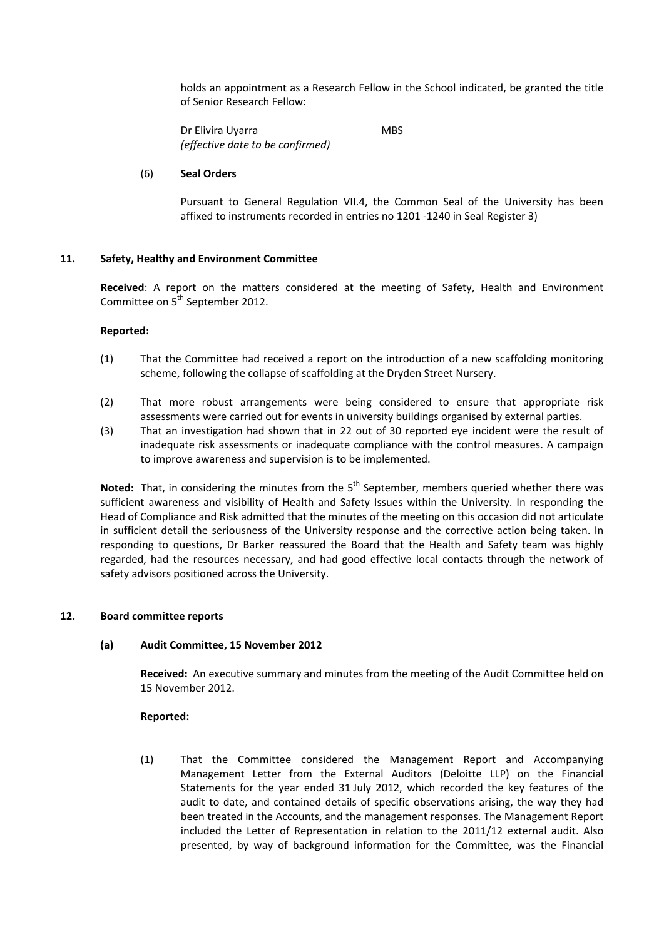holds an appointment as a Research Fellow in the School indicated, be granted the title of Senior Research Fellow:

Dr Elivira Uyarra MBS *(effective date to be confirmed)*

## (6) **Seal Orders**

Pursuant to General Regulation VII.4, the Common Seal of the University has been affixed to instruments recorded in entries no 1201 ‐1240 in Seal Register 3)

# **11. Safety, Healthy and Environment Committee**

**Received**: A report on the matters considered at the meeting of Safety, Health and Environment Committee on 5<sup>th</sup> September 2012.

## **Reported:**

- (1) That the Committee had received a report on the introduction of a new scaffolding monitoring scheme, following the collapse of scaffolding at the Dryden Street Nursery.
- (2) That more robust arrangements were being considered to ensure that appropriate risk assessments were carried out for events in university buildings organised by external parties.
- (3) That an investigation had shown that in 22 out of 30 reported eye incident were the result of inadequate risk assessments or inadequate compliance with the control measures. A campaign to improve awareness and supervision is to be implemented.

**Noted:** That, in considering the minutes from the 5<sup>th</sup> September, members queried whether there was sufficient awareness and visibility of Health and Safety Issues within the University. In responding the Head of Compliance and Risk admitted that the minutes of the meeting on this occasion did not articulate in sufficient detail the seriousness of the University response and the corrective action being taken. In responding to questions, Dr Barker reassured the Board that the Health and Safety team was highly regarded, had the resources necessary, and had good effective local contacts through the network of safety advisors positioned across the University.

## **12. Board committee reports**

## **(a) Audit Committee, 15 November 2012**

**Received:** An executive summary and minutes from the meeting of the Audit Committee held on 15 November 2012.

## **Reported:**

(1) That the Committee considered the Management Report and Accompanying Management Letter from the External Auditors (Deloitte LLP) on the Financial Statements for the year ended 31 July 2012, which recorded the key features of the audit to date, and contained details of specific observations arising, the way they had been treated in the Accounts, and the management responses. The Management Report included the Letter of Representation in relation to the 2011/12 external audit. Also presented, by way of background information for the Committee, was the Financial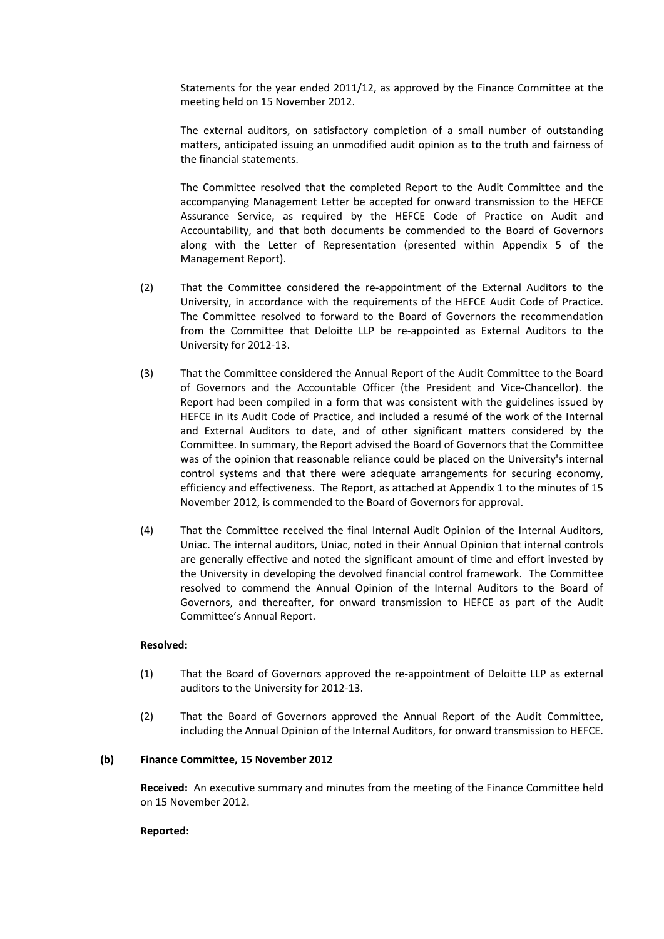Statements for the year ended 2011/12, as approved by the Finance Committee at the meeting held on 15 November 2012.

The external auditors, on satisfactory completion of a small number of outstanding matters, anticipated issuing an unmodified audit opinion as to the truth and fairness of the financial statements.

The Committee resolved that the completed Report to the Audit Committee and the accompanying Management Letter be accepted for onward transmission to the HEFCE Assurance Service, as required by the HEFCE Code of Practice on Audit and Accountability, and that both documents be commended to the Board of Governors along with the Letter of Representation (presented within Appendix 5 of the Management Report).

- (2) That the Committee considered the re‐appointment of the External Auditors to the University, in accordance with the requirements of the HEFCE Audit Code of Practice. The Committee resolved to forward to the Board of Governors the recommendation from the Committee that Deloitte LLP be re-appointed as External Auditors to the University for 2012‐13.
- (3) That the Committee considered the Annual Report of the Audit Committee to the Board of Governors and the Accountable Officer (the President and Vice‐Chancellor). the Report had been compiled in a form that was consistent with the guidelines issued by HEFCE in its Audit Code of Practice, and included a resumé of the work of the Internal and External Auditors to date, and of other significant matters considered by the Committee. In summary, the Report advised the Board of Governors that the Committee was of the opinion that reasonable reliance could be placed on the University's internal control systems and that there were adequate arrangements for securing economy, efficiency and effectiveness. The Report, as attached at Appendix 1 to the minutes of 15 November 2012, is commended to the Board of Governors for approval.
- (4) That the Committee received the final Internal Audit Opinion of the Internal Auditors, Uniac. The internal auditors, Uniac, noted in their Annual Opinion that internal controls are generally effective and noted the significant amount of time and effort invested by the University in developing the devolved financial control framework. The Committee resolved to commend the Annual Opinion of the Internal Auditors to the Board of Governors, and thereafter, for onward transmission to HEFCE as part of the Audit Committee's Annual Report.

## **Resolved:**

- (1) That the Board of Governors approved the re‐appointment of Deloitte LLP as external auditors to the University for 2012‐13.
- (2) That the Board of Governors approved the Annual Report of the Audit Committee, including the Annual Opinion of the Internal Auditors, for onward transmission to HEFCE.

## **(b) Finance Committee, 15 November 2012**

**Received:** An executive summary and minutes from the meeting of the Finance Committee held on 15 November 2012.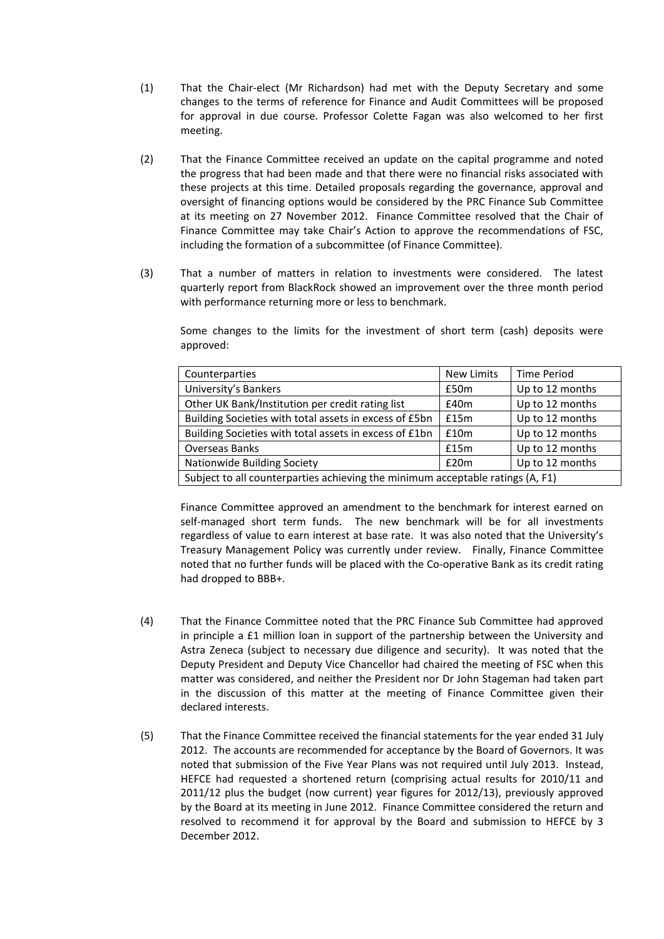- (1) That the Chair‐elect (Mr Richardson) had met with the Deputy Secretary and some changes to the terms of reference for Finance and Audit Committees will be proposed for approval in due course. Professor Colette Fagan was also welcomed to her first meeting.
- (2) That the Finance Committee received an update on the capital programme and noted the progress that had been made and that there were no financial risks associated with these projects at this time. Detailed proposals regarding the governance, approval and oversight of financing options would be considered by the PRC Finance Sub Committee at its meeting on 27 November 2012. Finance Committee resolved that the Chair of Finance Committee may take Chair's Action to approve the recommendations of FSC, including the formation of a subcommittee (of Finance Committee).
- (3) That a number of matters in relation to investments were considered. The latest quarterly report from BlackRock showed an improvement over the three month period with performance returning more or less to benchmark.

Some changes to the limits for the investment of short term (cash) deposits were approved:

| Counterparties                                                                 | <b>New Limits</b> | <b>Time Period</b> |  |
|--------------------------------------------------------------------------------|-------------------|--------------------|--|
| University's Bankers                                                           | £50m              | Up to 12 months    |  |
| Other UK Bank/Institution per credit rating list                               | E40m              | Up to 12 months    |  |
| Building Societies with total assets in excess of £5bn                         | £15m              | Up to 12 months    |  |
| Building Societies with total assets in excess of £1bn                         | £10m              | Up to 12 months    |  |
| <b>Overseas Banks</b>                                                          | £15m              | Up to 12 months    |  |
| Nationwide Building Society                                                    | £20m              | Up to 12 months    |  |
| Subject to all counterparties achieving the minimum acceptable ratings (A, F1) |                   |                    |  |

Finance Committee approved an amendment to the benchmark for interest earned on self-managed short term funds. The new benchmark will be for all investments regardless of value to earn interest at base rate. It was also noted that the University's Treasury Management Policy was currently under review. Finally, Finance Committee noted that no further funds will be placed with the Co-operative Bank as its credit rating had dropped to BBB+.

- (4) That the Finance Committee noted that the PRC Finance Sub Committee had approved in principle a £1 million loan in support of the partnership between the University and Astra Zeneca (subject to necessary due diligence and security). It was noted that the Deputy President and Deputy Vice Chancellor had chaired the meeting of FSC when this matter was considered, and neither the President nor Dr John Stageman had taken part in the discussion of this matter at the meeting of Finance Committee given their declared interests.
- (5) That the Finance Committee received the financial statements for the year ended 31 July 2012. The accounts are recommended for acceptance by the Board of Governors. It was noted that submission of the Five Year Plans was not required until July 2013. Instead, HEFCE had requested a shortened return (comprising actual results for 2010/11 and 2011/12 plus the budget (now current) year figures for 2012/13), previously approved by the Board at its meeting in June 2012. Finance Committee considered the return and resolved to recommend it for approval by the Board and submission to HEFCE by 3 December 2012.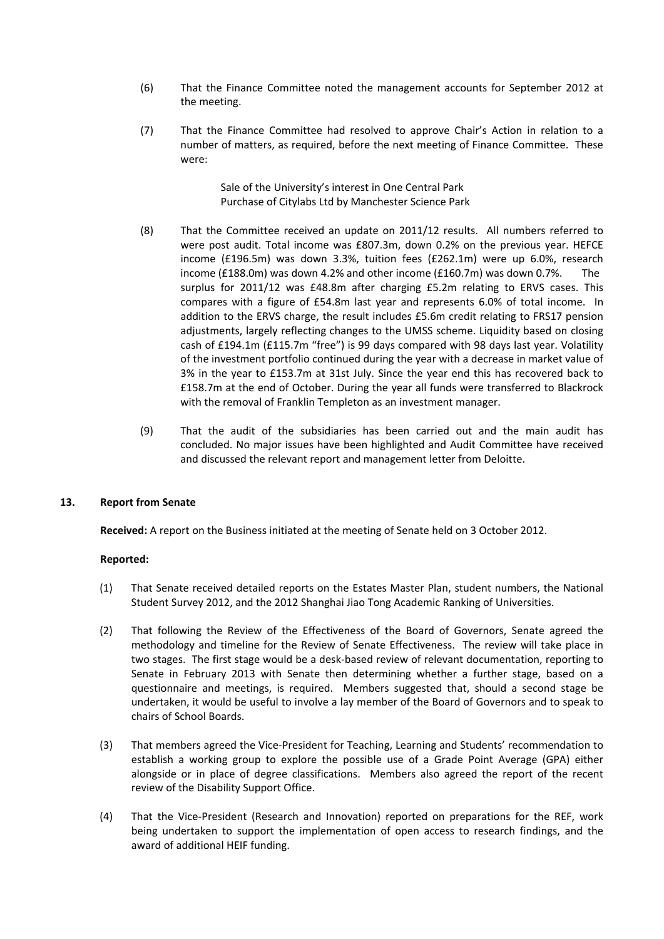- (6) That the Finance Committee noted the management accounts for September 2012 at the meeting.
- (7) That the Finance Committee had resolved to approve Chair's Action in relation to a number of matters, as required, before the next meeting of Finance Committee. These were:

Sale of the University's interest in One Central Park Purchase of Citylabs Ltd by Manchester Science Park

- (8) That the Committee received an update on 2011/12 results. All numbers referred to were post audit. Total income was £807.3m, down 0.2% on the previous year. HEFCE income (£196.5m) was down 3.3%, tuition fees (£262.1m) were up 6.0%, research income (£188.0m) was down 4.2% and other income (£160.7m) was down 0.7%. The surplus for 2011/12 was £48.8m after charging £5.2m relating to ERVS cases. This compares with a figure of £54.8m last year and represents 6.0% of total income. In addition to the ERVS charge, the result includes £5.6m credit relating to FRS17 pension adjustments, largely reflecting changes to the UMSS scheme. Liquidity based on closing cash of £194.1m (£115.7m "free") is 99 days compared with 98 days last year. Volatility of the investment portfolio continued during the year with a decrease in market value of 3% in the year to £153.7m at 31st July. Since the year end this has recovered back to £158.7m at the end of October. During the year all funds were transferred to Blackrock with the removal of Franklin Templeton as an investment manager.
- (9) That the audit of the subsidiaries has been carried out and the main audit has concluded. No major issues have been highlighted and Audit Committee have received and discussed the relevant report and management letter from Deloitte.

## **13. Report from Senate**

**Received:** A report on the Business initiated at the meeting of Senate held on 3 October 2012.

- (1) That Senate received detailed reports on the Estates Master Plan, student numbers, the National Student Survey 2012, and the 2012 Shanghai Jiao Tong Academic Ranking of Universities.
- (2) That following the Review of the Effectiveness of the Board of Governors, Senate agreed the methodology and timeline for the Review of Senate Effectiveness. The review will take place in two stages. The first stage would be a desk‐based review of relevant documentation, reporting to Senate in February 2013 with Senate then determining whether a further stage, based on a questionnaire and meetings, is required. Members suggested that, should a second stage be undertaken, it would be useful to involve a lay member of the Board of Governors and to speak to chairs of School Boards.
- (3) That members agreed the Vice‐President for Teaching, Learning and Students' recommendation to establish a working group to explore the possible use of a Grade Point Average (GPA) either alongside or in place of degree classifications. Members also agreed the report of the recent review of the Disability Support Office.
- (4) That the Vice‐President (Research and Innovation) reported on preparations for the REF, work being undertaken to support the implementation of open access to research findings, and the award of additional HEIF funding.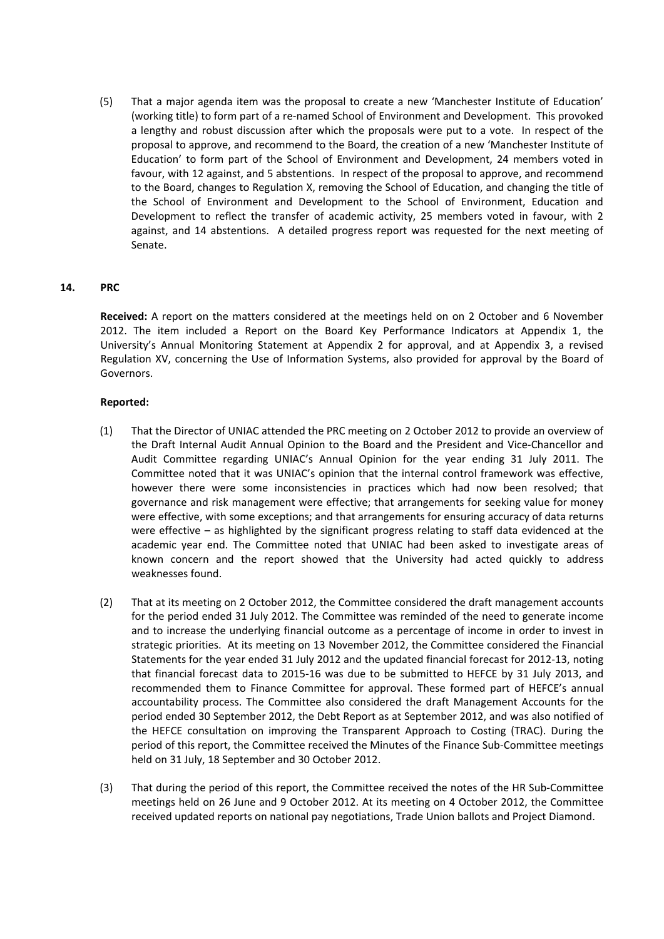(5) That a major agenda item was the proposal to create a new 'Manchester Institute of Education' (working title) to form part of a re‐named School of Environment and Development. This provoked a lengthy and robust discussion after which the proposals were put to a vote. In respect of the proposal to approve, and recommend to the Board, the creation of a new 'Manchester Institute of Education' to form part of the School of Environment and Development, 24 members voted in favour, with 12 against, and 5 abstentions. In respect of the proposal to approve, and recommend to the Board, changes to Regulation X, removing the School of Education, and changing the title of the School of Environment and Development to the School of Environment, Education and Development to reflect the transfer of academic activity, 25 members voted in favour, with 2 against, and 14 abstentions. A detailed progress report was requested for the next meeting of Senate.

# **14. PRC**

**Received:** A report on the matters considered at the meetings held on on 2 October and 6 November 2012. The item included a Report on the Board Key Performance Indicators at Appendix 1, the University's Annual Monitoring Statement at Appendix 2 for approval, and at Appendix 3, a revised Regulation XV, concerning the Use of Information Systems, also provided for approval by the Board of Governors.

- (1) That the Director of UNIAC attended the PRC meeting on 2 October 2012 to provide an overview of the Draft Internal Audit Annual Opinion to the Board and the President and Vice‐Chancellor and Audit Committee regarding UNIAC's Annual Opinion for the year ending 31 July 2011. The Committee noted that it was UNIAC's opinion that the internal control framework was effective, however there were some inconsistencies in practices which had now been resolved; that governance and risk management were effective; that arrangements for seeking value for money were effective, with some exceptions; and that arrangements for ensuring accuracy of data returns were effective – as highlighted by the significant progress relating to staff data evidenced at the academic year end. The Committee noted that UNIAC had been asked to investigate areas of known concern and the report showed that the University had acted quickly to address weaknesses found.
- (2) That at its meeting on 2 October 2012, the Committee considered the draft management accounts for the period ended 31 July 2012. The Committee was reminded of the need to generate income and to increase the underlying financial outcome as a percentage of income in order to invest in strategic priorities. At its meeting on 13 November 2012, the Committee considered the Financial Statements for the year ended 31 July 2012 and the updated financial forecast for 2012‐13, noting that financial forecast data to 2015‐16 was due to be submitted to HEFCE by 31 July 2013, and recommended them to Finance Committee for approval. These formed part of HEFCE's annual accountability process. The Committee also considered the draft Management Accounts for the period ended 30 September 2012, the Debt Report as at September 2012, and was also notified of the HEFCE consultation on improving the Transparent Approach to Costing (TRAC). During the period of this report, the Committee received the Minutes of the Finance Sub‐Committee meetings held on 31 July, 18 September and 30 October 2012.
- (3) That during the period of this report, the Committee received the notes of the HR Sub‐Committee meetings held on 26 June and 9 October 2012. At its meeting on 4 October 2012, the Committee received updated reports on national pay negotiations, Trade Union ballots and Project Diamond.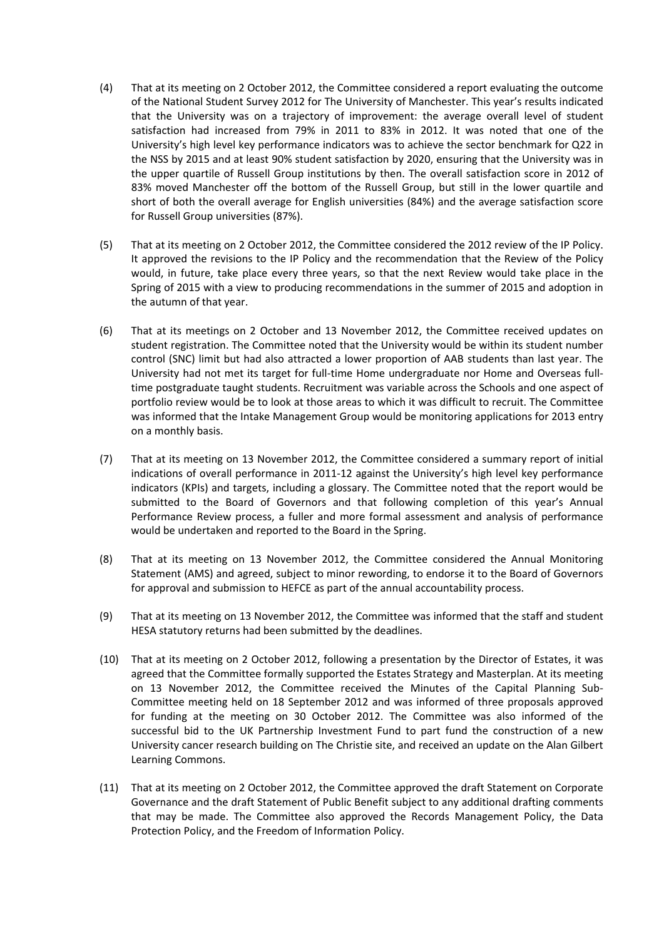- (4) That at its meeting on 2 October 2012, the Committee considered a report evaluating the outcome of the National Student Survey 2012 for The University of Manchester. This year's results indicated that the University was on a trajectory of improvement: the average overall level of student satisfaction had increased from 79% in 2011 to 83% in 2012. It was noted that one of the University's high level key performance indicators was to achieve the sector benchmark for Q22 in the NSS by 2015 and at least 90% student satisfaction by 2020, ensuring that the University was in the upper quartile of Russell Group institutions by then. The overall satisfaction score in 2012 of 83% moved Manchester off the bottom of the Russell Group, but still in the lower quartile and short of both the overall average for English universities (84%) and the average satisfaction score for Russell Group universities (87%).
- (5) That at its meeting on 2 October 2012, the Committee considered the 2012 review of the IP Policy. It approved the revisions to the IP Policy and the recommendation that the Review of the Policy would, in future, take place every three years, so that the next Review would take place in the Spring of 2015 with a view to producing recommendations in the summer of 2015 and adoption in the autumn of that year.
- (6) That at its meetings on 2 October and 13 November 2012, the Committee received updates on student registration. The Committee noted that the University would be within its student number control (SNC) limit but had also attracted a lower proportion of AAB students than last year. The University had not met its target for full‐time Home undergraduate nor Home and Overseas full‐ time postgraduate taught students. Recruitment was variable across the Schools and one aspect of portfolio review would be to look at those areas to which it was difficult to recruit. The Committee was informed that the Intake Management Group would be monitoring applications for 2013 entry on a monthly basis.
- (7) That at its meeting on 13 November 2012, the Committee considered a summary report of initial indications of overall performance in 2011‐12 against the University's high level key performance indicators (KPIs) and targets, including a glossary. The Committee noted that the report would be submitted to the Board of Governors and that following completion of this year's Annual Performance Review process, a fuller and more formal assessment and analysis of performance would be undertaken and reported to the Board in the Spring.
- (8) That at its meeting on 13 November 2012, the Committee considered the Annual Monitoring Statement (AMS) and agreed, subject to minor rewording, to endorse it to the Board of Governors for approval and submission to HEFCE as part of the annual accountability process.
- (9) That at its meeting on 13 November 2012, the Committee was informed that the staff and student HESA statutory returns had been submitted by the deadlines.
- (10) That at its meeting on 2 October 2012, following a presentation by the Director of Estates, it was agreed that the Committee formally supported the Estates Strategy and Masterplan. At its meeting on 13 November 2012, the Committee received the Minutes of the Capital Planning Sub-Committee meeting held on 18 September 2012 and was informed of three proposals approved for funding at the meeting on 30 October 2012. The Committee was also informed of the successful bid to the UK Partnership Investment Fund to part fund the construction of a new University cancer research building on The Christie site, and received an update on the Alan Gilbert Learning Commons.
- (11) That at its meeting on 2 October 2012, the Committee approved the draft Statement on Corporate Governance and the draft Statement of Public Benefit subject to any additional drafting comments that may be made. The Committee also approved the Records Management Policy, the Data Protection Policy, and the Freedom of Information Policy.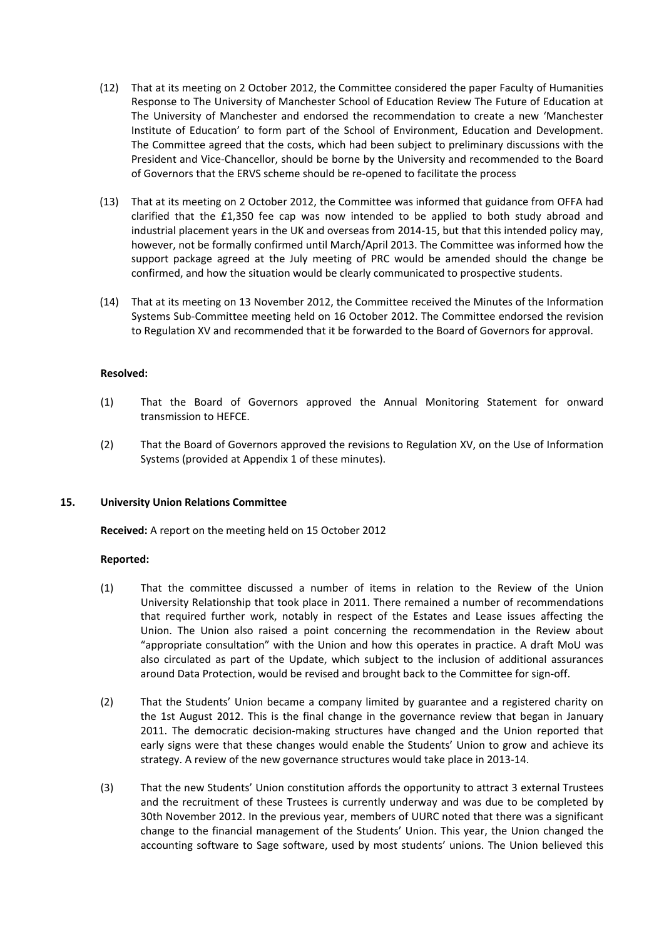- (12) That at its meeting on 2 October 2012, the Committee considered the paper Faculty of Humanities Response to The University of Manchester School of Education Review The Future of Education at The University of Manchester and endorsed the recommendation to create a new 'Manchester Institute of Education' to form part of the School of Environment, Education and Development. The Committee agreed that the costs, which had been subject to preliminary discussions with the President and Vice‐Chancellor, should be borne by the University and recommended to the Board of Governors that the ERVS scheme should be re‐opened to facilitate the process
- (13) That at its meeting on 2 October 2012, the Committee was informed that guidance from OFFA had clarified that the £1,350 fee cap was now intended to be applied to both study abroad and industrial placement years in the UK and overseas from 2014‐15, but that this intended policy may, however, not be formally confirmed until March/April 2013. The Committee was informed how the support package agreed at the July meeting of PRC would be amended should the change be confirmed, and how the situation would be clearly communicated to prospective students.
- (14) That at its meeting on 13 November 2012, the Committee received the Minutes of the Information Systems Sub‐Committee meeting held on 16 October 2012. The Committee endorsed the revision to Regulation XV and recommended that it be forwarded to the Board of Governors for approval.

# **Resolved:**

- (1) That the Board of Governors approved the Annual Monitoring Statement for onward transmission to HEFCE.
- (2) That the Board of Governors approved the revisions to Regulation XV, on the Use of Information Systems (provided at Appendix 1 of these minutes).

## **15. University Union Relations Committee**

**Received:** A report on the meeting held on 15 October 2012

- (1) That the committee discussed a number of items in relation to the Review of the Union University Relationship that took place in 2011. There remained a number of recommendations that required further work, notably in respect of the Estates and Lease issues affecting the Union. The Union also raised a point concerning the recommendation in the Review about "appropriate consultation" with the Union and how this operates in practice. A draft MoU was also circulated as part of the Update, which subject to the inclusion of additional assurances around Data Protection, would be revised and brought back to the Committee for sign-off.
- (2) That the Students' Union became a company limited by guarantee and a registered charity on the 1st August 2012. This is the final change in the governance review that began in January 2011. The democratic decision-making structures have changed and the Union reported that early signs were that these changes would enable the Students' Union to grow and achieve its strategy. A review of the new governance structures would take place in 2013‐14.
- (3) That the new Students' Union constitution affords the opportunity to attract 3 external Trustees and the recruitment of these Trustees is currently underway and was due to be completed by 30th November 2012. In the previous year, members of UURC noted that there was a significant change to the financial management of the Students' Union. This year, the Union changed the accounting software to Sage software, used by most students' unions. The Union believed this